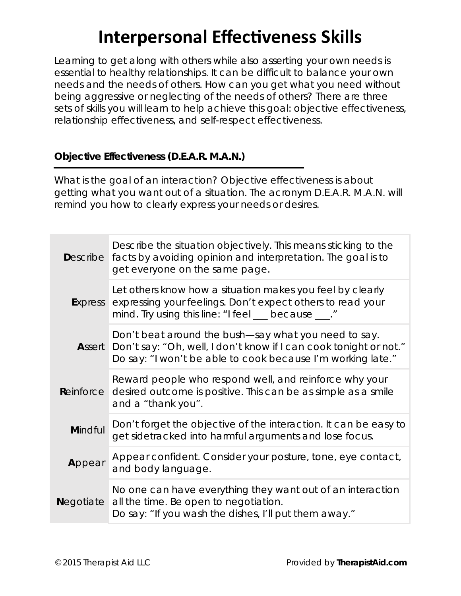# **Interpersonal Effectiveness Skills**

Learning to get along with others while also asserting your own needs is essential to healthy relationships. It can be difficult to balance your own needs and the needs of others. How can you get what you need without being aggressive or neglecting of the needs of others? There are three sets of skills you will learn to help achieve this goal: objective effectiveness, relationship effectiveness, and self-respect effectiveness.

### **Objective Effectiveness (D.E.A.R. M.A.N.)**

What is the goal of an interaction? *Objective effectiveness* is about getting what you want out of a situation. The acronym D.E.A.R. M.A.N. will remind you how to clearly express your needs or desires.

|                   | Describe the situation objectively. This means sticking to the<br><b>Describe</b> facts by avoiding opinion and interpretation. The goal is to<br>get everyone on the same page.                  |
|-------------------|---------------------------------------------------------------------------------------------------------------------------------------------------------------------------------------------------|
| <b>Express</b>    | Let others know how a situation makes you feel by clearly<br>expressing your feelings. Don't expect others to read your<br>mind. Try using this line: "I feel __ because ___."                    |
|                   | Don't beat around the bush—say what you need to say.<br>Assert   Don't say: "Oh, well, I don't know if I can cook tonight or not."<br>Do say: "I won't be able to cook because I'm working late." |
|                   | Reward people who respond well, and reinforce why your<br>Reinforce desired outcome is positive. This can be as simple as a smile<br>and a "thank you".                                           |
| Mindful           | Don't forget the objective of the interaction. It can be easy to<br>get sidetracked into harmful arguments and lose focus.                                                                        |
| Appear            | Appear confident. Consider your posture, tone, eye contact,<br>and body language.                                                                                                                 |
| <b>N</b> egotiate | No one can have everything they want out of an interaction<br>all the time. Be open to negotiation.<br>Do say: "If you wash the dishes, I'll put them away."                                      |